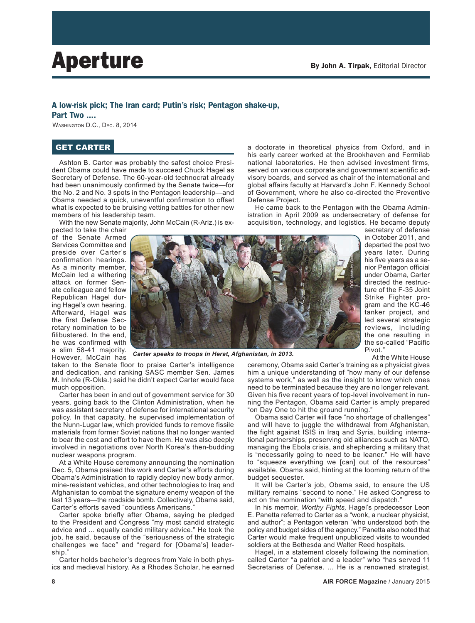## A low-risk pick; The Iran card; Putin's risk; Pentagon shake-up,

Part Two ....

WASHINGTON D.C., DEC. 8, 2014

## GET CARTER

Ashton B. Carter was probably the safest choice President Obama could have made to succeed Chuck Hagel as Secretary of Defense. The 60-year-old technocrat already had been unanimously confirmed by the Senate twice—for the No. 2 and No. 3 spots in the Pentagon leadership—and Obama needed a quick, uneventful confirmation to offset what is expected to be bruising vetting battles for other new members of his leadership team.

With the new Senate majority, John McCain (R-Ariz.) is ex-

pected to take the chair of the Senate Armed Services Committee and preside over Carter's confirmation hearings. As a minority member, McCain led a withering attack on former Senate colleague and fellow Republican Hagel during Hagel's own hearing. Afterward, Hagel was the first Defense Secretary nomination to be filibustered. In the end, he was confirmed with a slim 58-41 majority. However, McCain has



a doctorate in theoretical physics from Oxford, and in his early career worked at the Brookhaven and Fermilab national laboratories. He then advised investment firms, served on various corporate and government scientific advisory boards, and served as chair of the international and global affairs faculty at Harvard's John F. Kennedy School of Government, where he also co-directed the Preventive Defense Project.

He came back to the Pentagon with the Obama Administration in April 2009 as undersecretary of defense for acquisition, technology, and logistics. He became deputy

secretary of defense in October 2011, and departed the post two years later. During his five years as a senior Pentagon official under Obama, Carter directed the restructure of the F-35 Joint Strike Fighter program and the KC-46 tanker project, and led several strategic reviews, including the one resulting in the so-called "Pacific Pivot."

*Carter speaks to troops in Herat, Afghanistan, in 2013.*

taken to the Senate floor to praise Carter's intelligence and dedication, and ranking SASC member Sen. James M. Inhofe (R-Okla.) said he didn't expect Carter would face much opposition.

Carter has been in and out of government service for 30 years, going back to the Clinton Administration, when he was assistant secretary of defense for international security policy. In that capacity, he supervised implementation of the Nunn-Lugar law, which provided funds to remove fissile materials from former Soviet nations that no longer wanted to bear the cost and effort to have them. He was also deeply involved in negotiations over North Korea's then-budding nuclear weapons program.

At a White House ceremony announcing the nomination Dec. 5, Obama praised this work and Carter's efforts during Obama's Administration to rapidly deploy new body armor, mine-resistant vehicles, and other technologies to Iraq and Afghanistan to combat the signature enemy weapon of the last 13 years—the roadside bomb. Collectively, Obama said, Carter's efforts saved "countless Americans."

Carter spoke briefly after Obama, saying he pledged to the President and Congress "my most candid strategic advice and ... equally candid military advice." He took the job, he said, because of the "seriousness of the strategic challenges we face" and "regard for [Obama's] leadership."

Carter holds bachelor's degrees from Yale in both physics and medieval history. As a Rhodes Scholar, he earned At the White House

ceremony, Obama said Carter's training as a physicist gives him a unique understanding of "how many of our defense systems work," as well as the insight to know which ones need to be terminated because they are no longer relevant. Given his five recent years of top-level involvement in running the Pentagon, Obama said Carter is amply prepared "on Day One to hit the ground running."

Obama said Carter will face "no shortage of challenges" and will have to juggle the withdrawal from Afghanistan, the fight against ISIS in Iraq and Syria, building international partnerships, preserving old alliances such as NATO, managing the Ebola crisis, and shepherding a military that is "necessarily going to need to be leaner." He will have to "squeeze everything we [can] out of the resources" available, Obama said, hinting at the looming return of the budget sequester.

It will be Carter's job, Obama said, to ensure the US military remains "second to none." He asked Congress to act on the nomination "with speed and dispatch."

In his memoir, *Worthy Fights,* Hagel's predecessor Leon E. Panetta referred to Carter as a "wonk, a nuclear physicist, and author"; a Pentagon veteran "who understood both the policy and budget sides of the agency." Panetta also noted that Carter would make frequent unpublicized visits to wounded soldiers at the Bethesda and Walter Reed hospitals.

Hagel, in a statement closely following the nomination, called Carter "a patriot and a leader" who "has served 11 Secretaries of Defense. ... He is a renowned strategist,